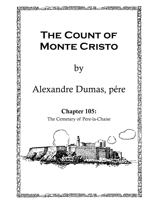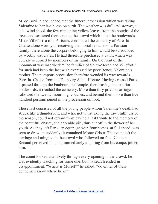M. de Boville had indeed met the funeral procession which was taking Valentine to her last home on earth. The weather was dull and stormy, a cold wind shook the few remaining yellow leaves from the boughs of the trees, and scattered them among the crowd which filled the boulevards. M. de Villefort, a true Parisian, considered the cemetery of Pere–la– Chaise alone worthy of receiving the mortal remains of a Parisian family; there alone the corpses belonging to him would be surrounded by worthy associates. He had therefore purchased a vault, which was quickly occupied by members of his family. On the front of the monument was inscribed: "The families of Saint–Meran and Villefort," for such had been the last wish expressed by poor Renee, Valentine's mother. The pompous procession therefore wended its way towards Pere–la–Chaise from the Faubourg Saint–Honore. Having crossed Paris, it passed through the Faubourg du Temple, then leaving the exterior boulevards, it reached the cemetery. More than fifty private carriages followed the twenty mourning–coaches, and behind them more than five hundred persons joined in the procession on foot.

These last consisted of all the young people whom Valentine's death had struck like a thunderbolt, and who, notwithstanding the raw chilliness of the season, could not refrain from paying a last tribute to the memory of the beautiful, chaste, and adorable girl, thus cut off in the flower of her youth. As they left Paris, an equipage with four horses, at full speed, was seen to draw up suddenly; it contained Monte Cristo. The count left the carriage and mingled in the crowd who followed on foot. Chateau– Renaud perceived him and immediately alighting from his coupe, joined him.

The count looked attentively through every opening in the crowd; he was evidently watching for some one, but his search ended in disappointment. "Where is Morrel?" he asked; "do either of these gentlemen know where he is?"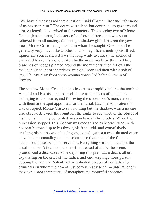"We have already asked that question," said Chateau–Renaud, "for none of us has seen him." The count was silent, but continued to gaze around him. At length they arrived at the cemetery. The piercing eye of Monte Cristo glanced through clusters of bushes and trees, and was soon relieved from all anxiety, for seeing a shadow glide between the yew– trees, Monte Cristo recognized him whom he sought. One funeral is generally very much like another in this magnificent metropolis. Black figures are seen scattered over the long white avenues; the silence of earth and heaven is alone broken by the noise made by the crackling branches of hedges planted around the monuments; then follows the melancholy chant of the priests, mingled now and then with a sob of anguish, escaping from some woman concealed behind a mass of flowers.

The shadow Monte Cristo had noticed passed rapidly behind the tomb of Abelard and Heloise, placed itself close to the heads of the horses belonging to the hearse, and following the undertaker's men, arrived with them at the spot appointed for the burial. Each person's attention was occupied. Monte Cristo saw nothing but the shadow, which no one else observed. Twice the count left the ranks to see whether the object of his interest had any concealed weapon beneath his clothes. When the procession stopped, this shadow was recognized as Morrel, who, with his coat buttoned up to his throat, his face livid, and convulsively crushing his hat between his fingers, leaned against a tree, situated on an elevation commanding the mausoleum, so that none of the funeral details could escape his observation. Everything was conducted in the usual manner. A few men, the least impressed of all by the scene, pronounced a discourse, some deploring this premature death, others expatiating on the grief of the father, and one very ingenious person quoting the fact that Valentine had solicited pardon of her father for criminals on whom the arm of justice was ready to fall—until at length they exhausted their stores of metaphor and mournful speeches.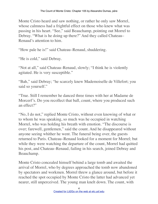Monte Cristo heard and saw nothing, or rather he only saw Morrel, whose calmness had a frightful effect on those who knew what was passing in his heart. "See," said Beauchamp, pointing out Morrel to Debray. "What is he doing up there?" And they called Chateau– Renaud's attention to him.

"How pale he is!" said Chateau–Renaud, shuddering.

"He is cold," said Debray.

"Not at all," said Chateau–Renaud, slowly; "I think he is violently agitated. He is very susceptible."

"Bah," said Debray; "he scarcely knew Mademoiselle de Villefort; you said so yourself."

"True. Still I remember he danced three times with her at Madame de Morcerf's. Do you recollect that ball, count, where you produced such an effect?"

"No, I do not," replied Monte Cristo, without even knowing of what or to whom he was speaking, so much was he occupied in watching Morrel, who was holding his breath with emotion. "The discourse is over; farewell, gentlemen," said the count. And he disappeared without anyone seeing whither he went. The funeral being over, the guests returned to Paris. Chateau–Renaud looked for a moment for Morrel; but while they were watching the departure of the count, Morrel had quitted his post, and Chateau–Renaud, failing in his search, joined Debray and Beauchamp.

Monte Cristo concealed himself behind a large tomb and awaited the arrival of Morrel, who by degrees approached the tomb now abandoned by spectators and workmen. Morrel threw a glance around, but before it reached the spot occupied by Monte Cristo the latter had advanced yet nearer, still unperceived. The young man knelt down. The count, with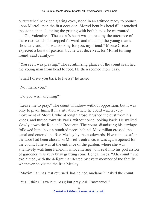outstretched neck and glaring eyes, stood in an attitude ready to pounce upon Morrel upon the first occasion. Morrel bent his head till it touched the stone, then clutching the grating with both hands, he murmured, —"Oh, Valentine!" The count's heart was pierced by the utterance of these two words; he stepped forward, and touching the young man's shoulder, said,—"I was looking for you, my friend." Monte Cristo expected a burst of passion, but he was deceived, for Morrel turning round, said calmly,—

"You see I was praying." The scrutinizing glance of the count searched the young man from head to foot. He then seemed more easy.

"Shall I drive you back to Paris?" he asked.

"No, thank you."

```
"Do you wish anything?"
```
"Leave me to pray." The count withdrew without opposition, but it was only to place himself in a situation where he could watch every movement of Morrel, who at length arose, brushed the dust from his knees, and turned towards Paris, without once looking back. He walked slowly down the Rue de la Roquette. The count, dismissing his carriage, followed him about a hundred paces behind. Maximilian crossed the canal and entered the Rue Meslay by the boulevards. Five minutes after the door had been closed on Morrel's entrance, it was again opened for the count. Julie was at the entrance of the garden, where she was attentively watching Penelon, who, entering with zeal into his profession of gardener, was very busy grafting some Bengal roses. "Ah, count," she exclaimed, with the delight manifested by every member of the family whenever he visited the Rue Meslay.

"Maximilian has just returned, has he not, madame?" asked the count.

"Yes, I think I saw him pass; but pray, call Emmanuel."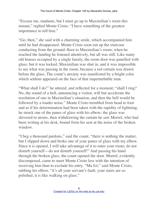"Excuse me, madame, but I must go up to Maximilian's room this instant," replied Monte Cristo, "I have something of the greatest importance to tell him."

"Go, then," she said with a charming smile, which accompanied him until he had disappeared. Monte Cristo soon ran up the staircase conducting from the ground–floor to Maximilian's room; when he reached the landing he listened attentively, but all was still. Like many old houses occupied by a single family, the room door was panelled with glass; but it was locked, Maximilian was shut in, and it was impossible to see what was passing in the room, because a red curtain was drawn before the glass. The count's anxiety was manifested by a bright color which seldom appeared on the face of that imperturbable man.

"What shall I do!" he uttered, and reflected for a moment; "shall I ring? No, the sound of a bell, announcing a visitor, will but accelerate the resolution of one in Maximilian's situation, and then the bell would be followed by a louder noise." Monte Cristo trembled from head to foot and as if his determination had been taken with the rapidity of lightning, he struck one of the panes of glass with his elbow; the glass was shivered to atoms, then withdrawing the curtain he saw Morrel, who had been writing at his desk, bound from his seat at the noise of the broken window.

"I beg a thousand pardons," said the count, "there is nothing the matter, but I slipped down and broke one of your panes of glass with my elbow. Since it is opened, I will take advantage of it to enter your room; do not disturb yourself—do not disturb yourself!" And passing his hand through the broken glass, the count opened the door. Morrel, evidently discomposed, came to meet Monte Cristo less with the intention of receiving him than to exclude his entry. "Ma foi," said Monte Cristo, rubbing his elbow, "it's all your servant's fault; your stairs are so polished, it is like walking on glass."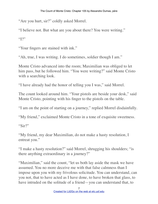"Are you hurt, sir?" coldly asked Morrel.

"I believe not. But what are you about there? You were writing."

 $\mathfrak{q}$ ?"

"Your fingers are stained with ink."

"Ah, true, I was writing. I do sometimes, soldier though I am."

Monte Cristo advanced into the room; Maximilian was obliged to let him pass, but he followed him. "You were writing?" said Monte Cristo with a searching look.

"I have already had the honor of telling you I was," said Morrel.

The count looked around him. "Your pistols are beside your desk," said Monte Cristo, pointing with his finger to the pistols on the table.

"I am on the point of starting on a journey," replied Morrel disdainfully.

"My friend," exclaimed Monte Cristo in a tone of exquisite sweetness.

"Sir?"

"My friend, my dear Maximilian, do not make a hasty resolution, I entreat you."

"I make a hasty resolution?" said Morrel, shrugging his shoulders; "is there anything extraordinary in a journey?"

"Maximilian," said the count, "let us both lay aside the mask we have assumed. You no more deceive me with that false calmness than I impose upon you with my frivolous solicitude. You can understand, can you not, that to have acted as I have done, to have broken that glass, to have intruded on the solitude of a friend—you can understand that, to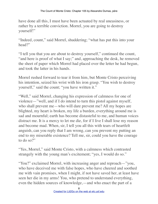have done all this, I must have been actuated by real uneasiness, or rather by a terrible conviction. Morrel, you are going to destroy yourself!"

"Indeed, count," said Morrel, shuddering; "what has put this into your head?"

"I tell you that you are about to destroy yourself," continued the count, "and here is proof of what I say;" and, approaching the desk, he removed the sheet of paper which Morrel had placed over the letter he had begun, and took the latter in his hands.

Morrel rushed forward to tear it from him, but Monte Cristo perceiving his intention, seized his wrist with his iron grasp. "You wish to destroy yourself," said the count; "you have written it."

"Well," said Morrel, changing his expression of calmness for one of violence—"well, and if I do intend to turn this pistol against myself, who shall prevent me—who will dare prevent me? All my hopes are blighted, my heart is broken, my life a burden, everything around me is sad and mournful; earth has become distasteful to me, and human voices distract me. It is a mercy to let me die, for if I live I shall lose my reason and become mad. When, sir, I tell you all this with tears of heartfelt anguish, can you reply that I am wrong, can you prevent my putting an end to my miserable existence? Tell me, sir, could you have the courage to do so?"

"Yes, Morrel," said Monte Cristo, with a calmness which contrasted strangely with the young man's excitement; "yes, I would do so."

"You?" exclaimed Morrel, with increasing anger and reproach—"you, who have deceived me with false hopes, who have cheered and soothed me with vain promises, when I might, if not have saved her, at least have seen her die in my arms! You, who pretend to understand everything, even the hidden sources of knowledge,—and who enact the part of a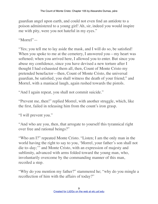guardian angel upon earth, and could not even find an antidote to a poison administered to a young girl! Ah, sir, indeed you would inspire me with pity, were you not hateful in my eyes."

"Morrel"—

"Yes; you tell me to lay aside the mask, and I will do so, be satisfied!" When you spoke to me at the cemetery, I answered you—my heart was softened; when you arrived here, I allowed you to enter. But since you abuse my confidence, since you have devised a new torture after I thought I had exhausted them all, then, Count of Monte Cristo my pretended benefactor—then, Count of Monte Cristo, the universal guardian, be satisfied, you shall witness the death of your friend;" and Morrel, with a maniacal laugh, again rushed towards the pistols.

"And I again repeat, you shall not commit suicide."

"Prevent me, then!" replied Morrel, with another struggle, which, like the first, failed in releasing him from the count's iron grasp.

"I will prevent you."

"And who are you, then, that arrogate to yourself this tyrannical right over free and rational beings?"

"Who am I?" repeated Monte Cristo. "Listen; I am the only man in the world having the right to say to you, 'Morrel, your father's son shall not die to–day;'" and Monte Cristo, with an expression of majesty and sublimity, advanced with arms folded toward the young man, who, involuntarily overcome by the commanding manner of this man, recoiled a step.

"Why do you mention my father?" stammered he; "why do you mingle a recollection of him with the affairs of today?"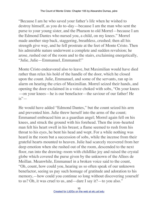"Because I am he who saved your father's life when he wished to destroy himself, as you do to–day—because I am the man who sent the purse to your young sister, and the Pharaon to old Morrel—because I am the Edmond Dantes who nursed you, a child, on my knees." Morrel made another step back, staggering, breathless, crushed; then all his strength give way, and he fell prostrate at the feet of Monte Cristo. Then his admirable nature underwent a complete and sudden revulsion; he arose, rushed out of the room and to the stairs, exclaiming energetically, "Julie, Julie—Emmanuel, Emmanuel!"

Monte Cristo endeavored also to leave, but Maximilian would have died rather than relax his hold of the handle of the door, which he closed upon the count. Julie, Emmanuel, and some of the servants, ran up in alarm on hearing the cries of Maximilian. Morrel seized their hands, and opening the door exclaimed in a voice choked with sobs, "On your knees —on your knees—he is our benefactor—the saviour of our father! He  $is --$ 

He would have added "Edmond Dantes," but the count seized his arm and prevented him. Julie threw herself into the arms of the count; Emmanuel embraced him as a guardian angel; Morrel again fell on his knees, and struck the ground with his forehead. Then the iron–hearted man felt his heart swell in his breast; a flame seemed to rush from his throat to his eyes, he bent his head and wept. For a while nothing was heard in the room but a succession of sobs, while the incense from their grateful hearts mounted to heaven. Julie had scarcely recovered from her deep emotion when she rushed out of the room, descended to the next floor, ran into the drawing–room with childlike joy and raised the crystal globe which covered the purse given by the unknown of the Allees de Meillan. Meanwhile, Emmanuel in a broken voice said to the count, "Oh, count, how could you, hearing us so often speak of our unknown benefactor, seeing us pay such homage of gratitude and adoration to his memory,—how could you continue so long without discovering yourself to us? Oh, it was cruel to us, and—dare I say it?—to you also."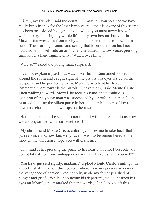"Listen, my friends," said the count—"I may call you so since we have really been friends for the last eleven years—the discovery of this secret has been occasioned by a great event which you must never know. I wish to bury it during my whole life in my own bosom, but your brother Maximilian wrested it from me by a violence he repents of now, I am sure." Then turning around, and seeing that Morrel, still on his knees, had thrown himself into an arm–chair, he added in a low voice, pressing Emmanuel's hand significantly, "Watch over him."

"Why so?" asked the young man, surprised.

"I cannot explain myself; but watch over him." Emmanuel looked around the room and caught sight of the pistols; his eyes rested on the weapons, and he pointed to them. Monte Cristo bent his head. Emmanuel went towards the pistols. "Leave them," said Monte Cristo. Then walking towards Morrel, he took his hand; the tumultuous agitation of the young man was succeeded by a profound stupor. Julie returned, holding the silken purse in her hands, while tears of joy rolled down her cheeks, like dewdrops on the rose.

"Here is the relic," she said; "do not think it will be less dear to us now we are acquainted with our benefactor!"

"My child," said Monte Cristo, coloring, "allow me to take back that purse? Since you now know my face, I wish to be remembered alone through the affection I hope you will grant me.

"Oh," said Julie, pressing the purse to her heart, "no, no, I beseech you do not take it, for some unhappy day you will leave us, will you not?"

"You have guessed rightly, madame," replied Monte Cristo, smiling; "in a week I shall have left this country, where so many persons who merit the vengeance of heaven lived happily, while my father perished of hunger and grief." While announcing his departure, the count fixed his eyes on Morrel, and remarked that the words, "I shall have left this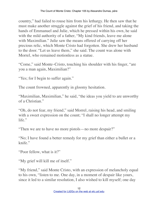country," had failed to rouse him from his lethargy. He then saw that he must make another struggle against the grief of his friend, and taking the hands of Emmanuel and Julie, which he pressed within his own, he said with the mild authority of a father, "My kind friends, leave me alone with Maximilian." Julie saw the means offered of carrying off her precious relic, which Monte Cristo had forgotten. She drew her husband to the door. "Let us leave them," she said. The count was alone with Morrel, who remained motionless as a statue.

"Come," said Monte–Cristo, touching his shoulder with his finger, "are you a man again, Maximilian?"

"Yes; for I begin to suffer again."

The count frowned, apparently in gloomy hesitation.

"Maximilian, Maximilian," he said, "the ideas you yield to are unworthy of a Christian."

"Oh, do not fear, my friend," said Morrel, raising his head, and smiling with a sweet expression on the count; "I shall no longer attempt my life."

"Then we are to have no more pistols—no more despair?"

"No; I have found a better remedy for my grief than either a bullet or a knife."

"Poor fellow, what is it?"

"My grief will kill me of itself."

"My friend," said Monte Cristo, with an expression of melancholy equal to his own, "listen to me. One day, in a moment of despair like yours, since it led to a similar resolution, I also wished to kill myself; one day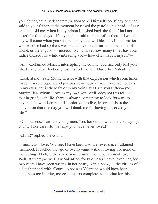your father, equally desperate, wished to kill himself too. If any one had said to your father, at the moment he raised the pistol to his head—if any one had told me, when in my prison I pushed back the food I had not tasted for three days—if anyone had said to either of us then, 'Live—the day will come when you will be happy, and will bless life!'—no matter whose voice had spoken, we should have heard him with the smile of doubt, or the anguish of incredulity,—and yet how many times has your father blessed life while embracing you—how often have I myself"—

"Ah," exclaimed Morrel, interrupting the count, "you had only lost your liberty, my father had only lost his fortune, but I have lost Valentine."

"Look at me," said Monte Cristo, with that expression which sometimes made him so eloquent and persuasive—"look at me. There are no tears in my eyes, nor is there fever in my veins, yet I see you suffer—you, Maximilian, whom I love as my own son. Well, does not this tell you that in grief, as in life, there is always something to look forward to beyond? Now, if I entreat, if I order you to live, Morrel, it is in the conviction that one day you will thank me for having preserved your life."

"Oh, heavens," said the young man, "oh, heavens—what are you saying, count? Take care. But perhaps you have never loved!"

"Child!" replied the count.

"I mean, as I love. You see, I have been a soldier ever since I attained manhood. I reached the age of twenty–nine without loving, for none of the feelings I before then experienced merit the appellation of love. Well, at twenty–nine I saw Valentine; for two years I have loved her, for two years I have seen written in her heart, as in a book, all the virtues of a daughter and wife. Count, to possess Valentine would have been a happiness too infinite, too ecstatic, too complete, too divine for this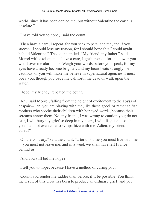world, since it has been denied me; but without Valentine the earth is desolate"

"I have told you to hope," said the count.

"Then have a care, I repeat, for you seek to persuade me, and if you succeed I should lose my reason, for I should hope that I could again behold Valentine." The count smiled. "My friend, my father," said Morrel with excitement, "have a care, I again repeat, for the power you wield over me alarms me. Weigh your words before you speak, for my eyes have already become brighter, and my heart beats strongly; be cautious, or you will make me believe in supernatural agencies. I must obey you, though you bade me call forth the dead or walk upon the water"

"Hope, my friend," repeated the count.

"Ah," said Morrel, falling from the height of excitement to the abyss of despair—"ah, you are playing with me, like those good, or rather selfish mothers who soothe their children with honeyed words, because their screams annoy them. No, my friend, I was wrong to caution you; do not fear, I will bury my grief so deep in my heart, I will disguise it so, that you shall not even care to sympathize with me. Adieu, my friend, adieu!"

"On the contrary," said the count, "after this time you must live with me —you must not leave me, and in a week we shall have left France behind us."

"And you still bid me hope?"

"I tell you to hope, because I have a method of curing you."

"Count, you render me sadder than before, if it be possible. You think the result of this blow has been to produce an ordinary grief, and you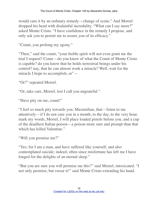would cure it by an ordinary remedy—change of scene." And Morrel dropped his head with disdainful incredulity. "What can I say more?" asked Monte Cristo. "I have confidence in the remedy I propose, and only ask you to permit me to assure you of its efficacy."

"Count, you prolong my agony."

"Then," said the count, "your feeble spirit will not even grant me the trial I request? Come—do you know of what the Count of Monte Cristo is capable? do you know that he holds terrestrial beings under his control? nay, that he can almost work a miracle? Well, wait for the miracle I hope to accomplish, or"—

"Or?" repeated Morrel.

"Or, take care, Morrel, lest I call you ungrateful."

"Have pity on me, count!"

"I feel so much pity towards you, Maximilian, that—listen to me attentively—if I do not cure you in a month, to the day, to the very hour, mark my words, Morrel, I will place loaded pistols before you, and a cup of the deadliest Italian poison—a poison more sure and prompt than that which has killed Valentine."

"Will you promise me?"

"Yes; for I am a man, and have suffered like yourself, and also contemplated suicide; indeed, often since misfortune has left me I have longed for the delights of an eternal sleep."

"But you are sure you will promise me this?" said Morrel, intoxicated. "I not only promise, but swear it!" said Monte Cristo extending his hand.